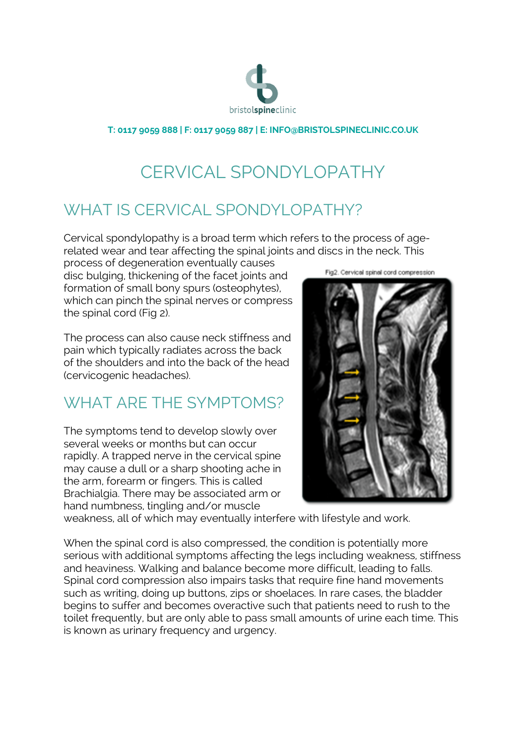

**T: 0117 9059 888 | F: 0117 9059 887 | E: INFO@BRISTOLSPINECLINIC.CO.UK**

# CERVICAL SPONDYLOPATHY

## WHAT IS CERVICAL SPONDYLOPATHY?

Cervical spondylopathy is a broad term which refers to the process of agerelated wear and tear affecting the spinal joints and discs in the neck. This

process of degeneration eventually causes disc bulging, thickening of the facet joints and formation of small bony spurs (osteophytes), which can pinch the spinal nerves or compress the spinal cord (Fig 2).

The process can also cause neck stiffness and pain which typically radiates across the back of the shoulders and into the back of the head (cervicogenic headaches).

### WHAT ARE THE SYMPTOMS?

The symptoms tend to develop slowly over several weeks or months but can occur rapidly. A trapped nerve in the cervical spine may cause a dull or a sharp shooting ache in the arm, forearm or fingers. This is called Brachialgia. There may be associated arm or hand numbness, tingling and/or muscle

Fig2. Cervical spinal cord compression



weakness, all of which may eventually interfere with lifestyle and work.

When the spinal cord is also compressed, the condition is potentially more serious with additional symptoms affecting the legs including weakness, stiffness and heaviness. Walking and balance become more difficult, leading to falls. Spinal cord compression also impairs tasks that require fine hand movements such as writing, doing up buttons, zips or shoelaces. In rare cases, the bladder begins to suffer and becomes overactive such that patients need to rush to the toilet frequently, but are only able to pass small amounts of urine each time. This is known as urinary frequency and urgency.